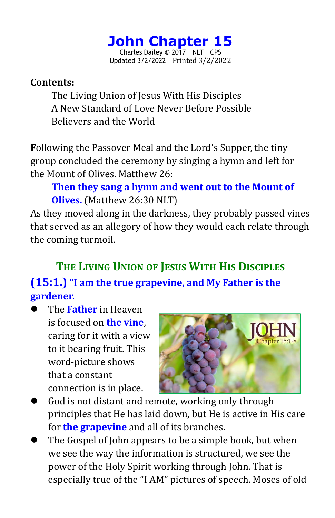# **John Chapter 15**

Charles Dailey © 2017 NLT CPS Updated 3/2/2022 Printed 3/2/2022

#### **Contents:**

The Living Union of Jesus With His Disciples A New Standard of Love Never Before Possible Believers and the World

**F**ollowing the Passover Meal and the Lord's Supper, the tiny group concluded the ceremony by singing a hymn and left for the Mount of Olives. Matthew 26:

# **Then they sang a hymn and wentout to the Mountof Olives.** (Matthew 26:30 NLT)

As they moved along in the darkness, they probably passed vines that served as an allegory of how they would each relate through the coming turmoil.

# **THE LIVING UNION OF JESUS WITH HIS DISCIPLES (15:1.) "I am the true grapevine, and My Father is the gardener.**

 The **Father** in Heaven is focused on **the vine**, caring for it with a view to it bearing fruit. This word-picture shows that a constant connection is in place.



- God is not distant and remote, working only through principles that He has laid down, but He is active in His care for **the grapevine** and all of its branches.
- The Gospel of John appears to be a simple book, but when we see the way the information is structured, we see the power of the Holy Spirit working through John. That is especially true of the "I AM" pictures of speech. Moses of old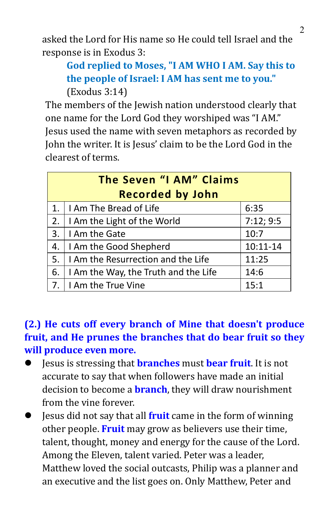asked the Lord for His name so He could tell Israel and the response is in Exodus 3:

# **God replied to Moses, "I AM WHO I AM. Say this to the people of Israel: I AM has sent me to you."** (Exodus 3:14)

The members of the Jewish nation understood clearly that one name for the Lord God they worshiped was "I AM." Jesus used the name with seven metaphors as recorded by John the writer. It is Jesus' claim to be the Lord God in the clearest of terms.

| The Seven "I AM" Claims |                                      |              |  |
|-------------------------|--------------------------------------|--------------|--|
| <b>Recorded by John</b> |                                      |              |  |
| 1.                      | I Am The Bread of Life               | 6:35         |  |
| 2.                      | I Am the Light of the World          | 7:12;9:5     |  |
| 3.                      | I Am the Gate                        | 10:7         |  |
| 4.                      | I Am the Good Shepherd               | $10:11 - 14$ |  |
| 5.                      | I Am the Resurrection and the Life   | 11:25        |  |
| 6.                      | I Am the Way, the Truth and the Life | 14:6         |  |
| 7.                      | I Am the True Vine                   | 15:1         |  |

## **(2.) He cuts off every branch of Mine that doesn't produce fruit, and He prunes the branches that do bear fruit so they will produce even more.**

- Jesus is stressing that **branches** must **bear fruit**. It is not accurate to say that when followers have made an initial decision to become a **branch**, they will draw nourishment from the vine forever.
- Jesus did not say that all**fruit** came in the form of winning other people. **Fruit** may grow as believers use their time, talent, thought, money and energy for the cause of the Lord. Among the Eleven, talent varied. Peter was a leader, Matthew loved the social outcasts, Philip was a planner and an executive and the list goes on. Only Matthew, Peter and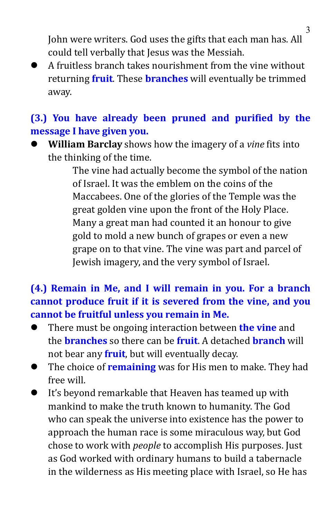John were writers. God uses the gifts that each man has. All could tell verbally that Jesus was the Messiah.

A fruitless branch takes nourishment from the vine without returning **fruit**. These **branches** will eventually be trimmed away.

# **(3.) You have already been pruned and purified by the message I have given you.**

 **William Barclay** shows how the imagery of a *vine* fits into the thinking of the time.

> The vine had actually become the symbol of the nation of Israel. It was the emblem on the coins ofthe Maccabees. One of the glories of the Temple was the great golden vine upon the front of the Holy Place. Many a great man had counted it an honour to give gold to mold a new bunch of grapes or even a new grape on to that vine. The vine was part and parcel of Jewish imagery, and the very symbol of Israel.

## **(4.) Remain in Me, and Iwill remain in you. For a branch cannot produce fruit if it is severed from the vine, and you cannot be fruitful unless you remain in Me.**

- There must be ongoing interaction between **the vine** and the **branches** so there can be **fruit**. A detached **branch** will not bear any **fruit**, but will eventually decay.
- The choice of **remaining** was for His men to make. They had free will.
- It's beyond remarkable that Heaven has teamed up with mankind to make the truth known to humanity. The God who can speak the universe into existence has the power to approach the human race is some miraculous way, but God chose to work with *people* to accomplish His purposes. Just as God worked with ordinary humans to build a tabernacle in the wilderness as His meeting place with Israel, so He has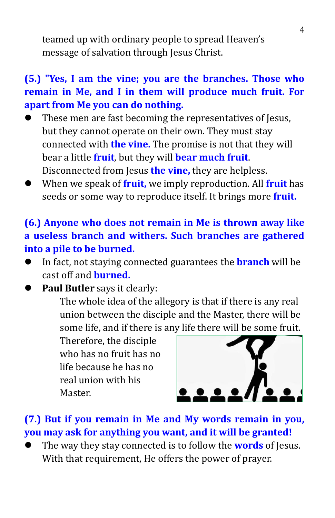teamed up with ordinary people to spread Heaven's message of salvation through Jesus Christ.

# **(5.) "Yes, I am the vine; you are the branches. Those who remain in Me, and I in them will produce much fruit. For apart from Me you can do nothing.**

- These men are fast becoming the representatives of Jesus, but they cannot operate on their own. They must stay connected with **the vine.** The promise is not that they will bear a little **fruit**, but they will **bear much fruit**. Disconnected from Jesus **the vine,** they are helpless.
- When we speak of **fruit,** we imply reproduction. All **fruit** has seeds or some way to reproduce itself. It brings more **fruit.**

# **(6.) Anyone who does not remain in Me is thrown away like a useless branch and withers. Such branches are gathered into a pile to be burned.**

- In fact, not staying connected guarantees the **branch** will be cast off and **burned.**
- **Paul Butler** says it clearly:

The whole idea of the allegory is that if there is any real union between the disciple and the Master, there will be some life, and if there is any life there will be some fruit.

Therefore, the disciple who has no fruit has no life because he has no real union with his Master.



# **(7.) But if you remain in Me and My words remain in you, you may ask for anything you want, and it will be granted!**

 The waythey stay connected is to follow the **words** of Jesus. With that requirement, He offers the power of prayer.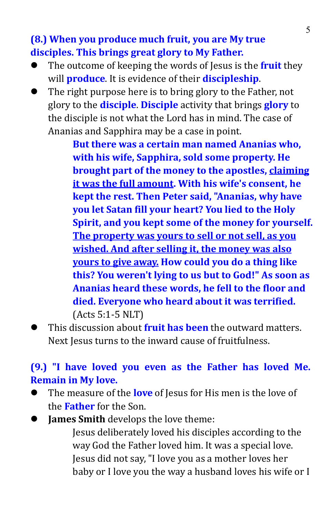**(8.) When you produce much fruit, you are My true disciples. This brings great glory to My Father.**

- The outcome of keeping the words of Jesus is the **fruit**they will **produce**. It is evidence of their **discipleship**.
- The right purpose here is to bring glory to the Father, not glory to the **disciple**. **Disciple** activity that brings **glory** to the disciple is not what the Lord has in mind. The case of Ananias and Sapphira may be a case in point.

**But there was a certain man named Ananias who, with his wife, Sapphira, sold some property. He brought part of the money to the apostles, claiming it was the full amount. With his wife's consent, he kept the rest. Then Petersaid, "Ananias, why have you let Satan fill your heart? You lied to the Holy Spirit, and you kept some of the money for yourself. The property was yours to sell or notsell, as you wished.** And after selling it, the money was also **yours to give away. How could you do a thing like this? You weren't lying to us but to God!"As soon as Ananias heard these words, he fell to the floor and died. Everyone who heard about it was terrified.**(Acts 5:1-5 NLT)

 This discussion about **fruit has been** the outward matters. Next Jesus turns to the inward cause of fruitfulness.

### **(9.) "I have loved you even as the Father has loved Me. Remain in My love.**

- The measure of the **love** of Jesus for His men is the love of the **Father** for the Son.
- **James Smith** develops the love theme:

Jesus deliberately loved his disciples according to the Jesus did not say, "I love you as a mother loves her baby or I love you the way a husband loves his wife or I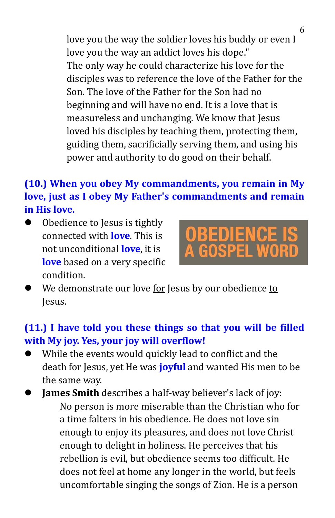love you the way the soldier loves his buddy or even I love you the way an addict loves his dope." The only way he could characterize his love for the disciples was to reference the love of the Father for the Son. The love of the Father for the Son had no beginning and will have no end. It is a love that is measureless and unchanging. We know that Jesus loved his disciples by teaching them, protecting them, guiding them, sacrificially serving them, and using his power and authority to do good on their behalf.

# **(10.) When you obey My commandments, you remain in My love, just as I obey My Father's commandments and remain in His love.**

 Obedience to Jesus is tightly connected with **love**. This is not unconditional **love**, it is **love** based on a very specific condition.



We demonstrate our love for Jesus by our obedience to Jesus.

### **(11.) I have told you these things so that you will be filled with My joy. Yes, your joy will overflow!**

- While the events would quickly lead to conflict and the death for Jesus, yet He was **joyful** and wanted His men to be the same way.
- **James Smith** describes a half-way believer's lack of joy: No person is more miserable than the Christian who for a time falters in his obedience. He does not love sin enough to enjoy its pleasures, and does not love Christ enough to delight in holiness. He perceives that his rebellion is evil, but obedience seems too difficult. He does not feel at home any longer in the world, but feels uncomfortable singing the songs of Zion. He is a person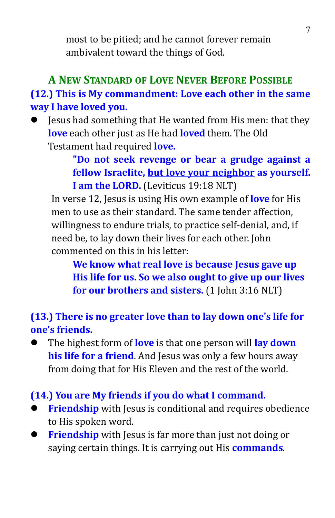most to be pitied; and he cannot forever remain ambivalent toward the things of God.

# **A NEW STANDARD OF LOVE NEVER BEFORE POSSIBLE (12.) This is My commandment: Love each other in the same way I have loved you.**

 Jesus had something that He wanted from His men: that they **love** each other just as He had **loved** them. The Old Testament had required **love.**

> **"Do not seek revenge or bear a grudge against a fellow Israelite, but love your neighbor as yourself. I am the LORD.** (Leviticus 19:18 NLT)

In verse 12, Jesus is using His own example of**love** for His men to use as their standard. The same tender affection, willingness to endure trials, to practice self-denial, and, if need be, to lay down their lives for each other. John commented on this in his letter:

**We know what real love is because Jesus gave up His life for us. So we also ought to give up our lives for our brothers and sisters.** (1 John 3:16 NLT)

**(13.) There is no greater love than to lay down one's life for one's friends.**

 The highest form of **love** is that one person will **lay down his life for a friend**. And Jesuswas only a few hours away from doing that for His Eleven and the rest of the world.

#### **(14.) You are My friends if you do what I command.**

- **Friendship** with Jesus is conditional and requires obedience to His spoken word.
- **Friendship** with Jesus is far more than just not doing or saying certain things. It is carrying out His **commands**.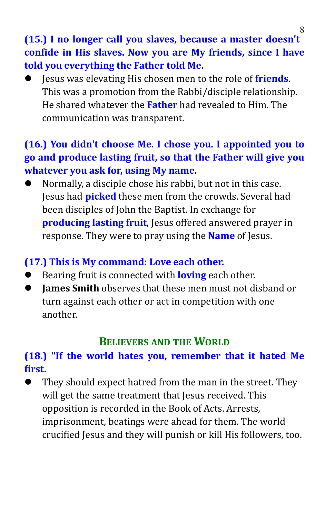# **(15.) I no longer call you slaves, because a master doesn't confide in His slaves. Now you are My friends, since I have told you everything the Father told Me.**

 Jesus was elevating His chosen men to the role of **friends**. This was a promotion from the Rabbi/disciple relationship. He shared whatever the **Father** had revealed to Him. The communication was transparent.

# **(16.) You didn't choose Me. I chose you. I appointed you to go and produce lasting fruit, so that the Father will give you whatever you ask for, using My name.**

 Normally, a disciple chose his rabbi, but not in this case. Jesus had **picked** these men from the crowds. Several had been disciples of John the Baptist. In exchange for **producing lasting fruit**, Jesus offered answered prayer in response. They were to pray using the **Name** of Jesus.

# **(17.) This is My command: Love each other.**

- Bearing fruit is connected with **loving** each other.
- **James Smith** observes that these men must not disband or turn against each other or act in competition with one another.

# **BELIEVERS AND THE WORLD**

# **(18.) "If the world hates you, remember that it hated Me first.**

 They should expect hatred from the man in the street. They will get the same treatment that Jesus received. This opposition is recorded in the Book of Acts. Arrests, imprisonment, beatings were ahead for them. The world crucified Jesus and they will punish or kill His followers, too.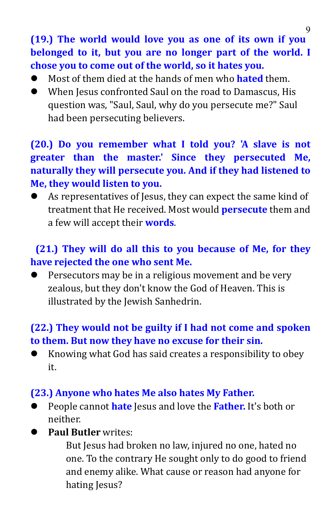**(19.) The world would love you as one of its own if you belonged to it, but you are no longer part of the world. I chose you to come out of the world, so it hates you.**

- Most of them died at the hands of men who **hated** them.
- When Jesus confronted Saul on the road to Damascus, His question was, "Saul, Saul, why do you persecute me?" Saul had been persecuting believers.

# **(20.) Do you remember what I told you? 'A slave is not greater than the master.' Since they persecuted Me, naturally they** will persecute you. And if they had listened to **Me, they would listen to you.**

 As representatives of Jesus, they can expect the same kind of treatment that He received. Most would **persecute** them and a few will accept their **words**.

# **(21.) They will do all this to you because of Me, for they have rejected the one who sent Me.**

 $\bullet$  Persecutors may be in a religious movement and be very zealous, but they don't know the God of Heaven. This is illustrated by the Jewish Sanhedrin.

# **(22.) They would not be guilty if I had not come and spoken to them. But now they have no excuse for their sin.**

 Knowing what God has said creates a responsibility to obey it.

#### **(23.) Anyone who hates Me also hates My Father.**

 People cannot **hate** Jesus and love the **Father.** It's both or neither.

# **Paul Butler** writes:

But Jesus had broken no law, injured no one, hated no one. To the contrary He sought only to do good to friend and enemy alike. What cause or reason had anyone for hating Jesus?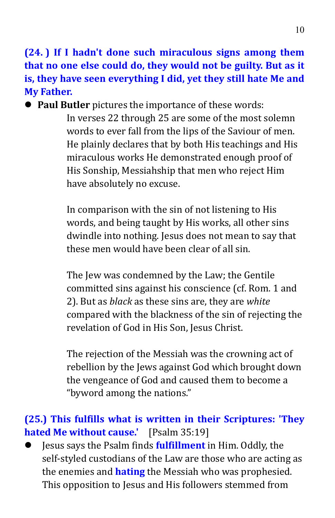**(24. ) If I hadn't done such miraculous signs among them that no one else could do, they would not be guilty. But as it is, they have seen everything I did, yet they still hate Me and My Father.**

**Paul Butler** pictures the importance of these words:

In verses 22 through 25 are some of the most solemn words to ever fall from the lips of the Saviour of men. He plainly declares that by both His teachings and His miraculous works He demonstrated enough proof of His Sonship, Messiahship that men who reject Him have absolutely no excuse.

In comparison with the sin of not listening to His words, and being taught by His works, all other sins dwindle into nothing. Jesus does not mean to say that these men would have been clear of all sin.

The Iew was condemned by the Law; the Gentile committed sins against his conscience (cf. Rom. 1 and 2). But as *black* as these sins are, they are *white* compared with the blackness of the sin of rejecting the revelation of God in His Son, Jesus Christ.

The rejection of the Messiah was the crowning act of rebellion by the Jews against God which brought down the vengeance of God and caused them to become a "byword among the nations."

### **(25.) This fulfills what is written in their Scriptures: 'They hated Me without cause.'** [Psalm 35:19]

 Jesus says the Psalm finds **fulfillment** in Him. Oddly, the self-styled custodians of the Law are those who are acting as the enemies and **hating** the Messiah who was prophesied. This opposition to Jesus and His followers stemmed from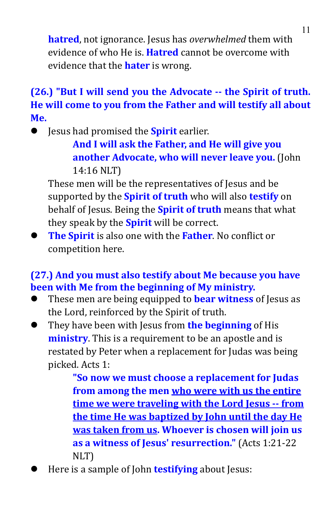**hatred**, not ignorance. Jesus has *overwhelmed* them with evidence of who He is. **Hatred** cannot be overcome with evidence that the **hater** is wrong.

# **(26.) "But I will send you the Advocate -- the Spirit of truth. He will come to you from the Father and will testify all about Me.**

**•** Jesus had promised the **Spirit** earlier.

**And I will ask the Father, and He will give you another Advocate, who will never leave you.** (John 14:16 NLT)

These men will be the representatives of Jesus and be supported by the **Spirit of truth** who will also **testify** on behalf of Jesus. Being the **Spirit of truth** means that what they speak by the **Spirit** will be correct.

 **The Spirit** is also one with the **Father**. No conflict or competition here.

### **(27.) And you mustalso testify about Me because you have been with Me from the beginning of My ministry.**

- These men are being equipped to **bear witness** of Jesus as the Lord, reinforced by the Spirit of truth.
- They have been with Jesus from **the beginning** of His **ministry**. This is a requirement to be an apostle and is restated by Peter when a replacement for Judas was being picked. Acts 1:

**"So now we must choose a replacement for Judas from among the men who were with us the entire time we were traveling with the Lord Jesus-- from the time He was baptized by John until the day He was taken from us. Whoever is chosen will join us as a witness of Jesus' resurrection."** (Acts 1:21-22 NLT)